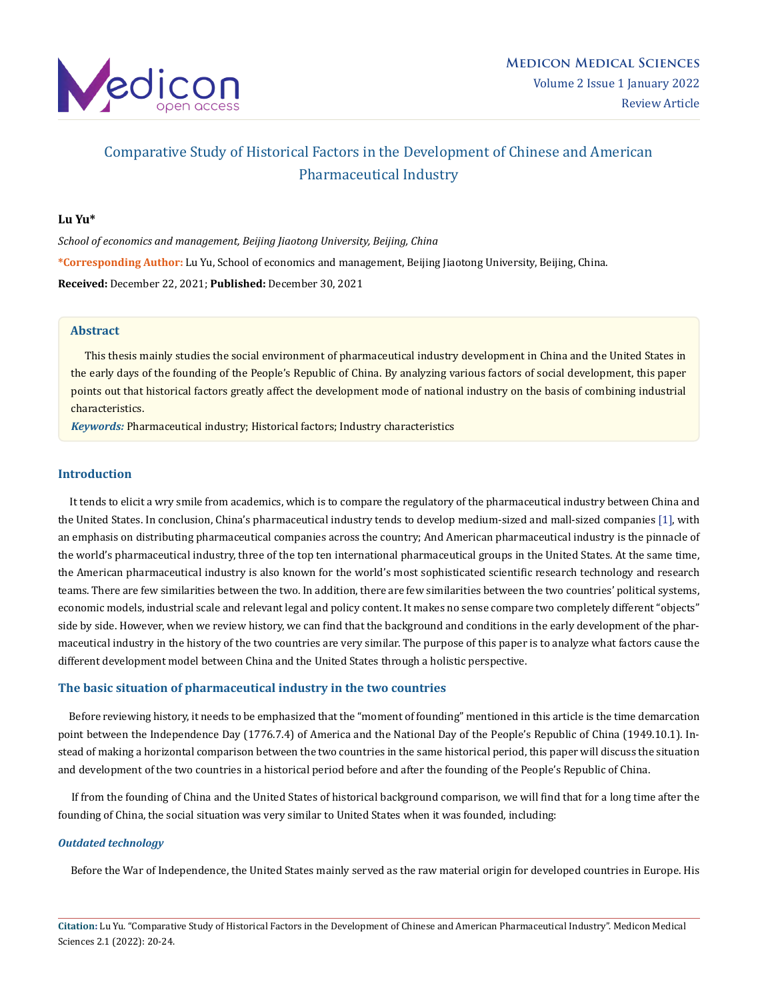

# Comparative Study of Historical Factors in the Development of Chinese and American Pharmaceutical Industry

## **Lu Yu\***

*School of economics and management, Beijing Jiaotong University, Beijing, China* **\*Corresponding Author:** Lu Yu, School of economics and management, Beijing Jiaotong University, Beijing, China. **Received:** December 22, 2021; **Published:** December 30, 2021

# **Abstract**

 This thesis mainly studies the social environment of pharmaceutical industry development in China and the United States in the early days of the founding of the People's Republic of China. By analyzing various factors of social development, this paper points out that historical factors greatly affect the development mode of national industry on the basis of combining industrial characteristics.

*Keywords:* Pharmaceutical industry; Historical factors; Industry characteristics

## **Introduction**

 It tends to elicit a wry smile from academics, which is to compare the regulatory of the pharmaceutical industry between China and the United States. In conclusion, China's pharmaceutical industry tends to develop medium-sized and mall-sized companies [1], with an emphasis on distributing pharmaceutical companies across the country; And American pharmaceutical industry is the pinnacle of the world's pharmaceutical industry, three of the top ten international pharmaceutical groups in the United States. At the same time, the American pharmaceutical industry is also known for the world's most sophisticated scientific research technology and research teams. There are few similarities between the two. In addition, there are few similarities between the two countries' political systems, economic models, industrial scale and relevant legal and policy content. It makes no sense compare two completely different "objects" side by side. However, when we review history, we can find that the background and conditions in the early development of the pharmaceutical industry in the history of the two countries are very similar. The purpose of this paper is to analyze what factors cause the different development model between China and the United States through a holistic perspective.

## **The basic situation of pharmaceutical industry in the two countries**

 Before reviewing history, it needs to be emphasized that the "moment of founding" mentioned in this article is the time demarcation point between the Independence Day (1776.7.4) of America and the National Day of the People's Republic of China (1949.10.1). Instead of making a horizontal comparison between the two countries in the same historical period, this paper will discuss the situation and development of the two countries in a historical period before and after the founding of the People's Republic of China.

 If from the founding of China and the United States of historical background comparison, we will find that for a long time after the founding of China, the social situation was very similar to United States when it was founded, including:

#### *Outdated technology*

Before the War of Independence, the United States mainly served as the raw material origin for developed countries in Europe. His

**Citation:** Lu Yu. "Comparative Study of Historical Factors in the Development of Chinese and American Pharmaceutical Industry". Medicon Medical Sciences 2.1 (2022): 20-24.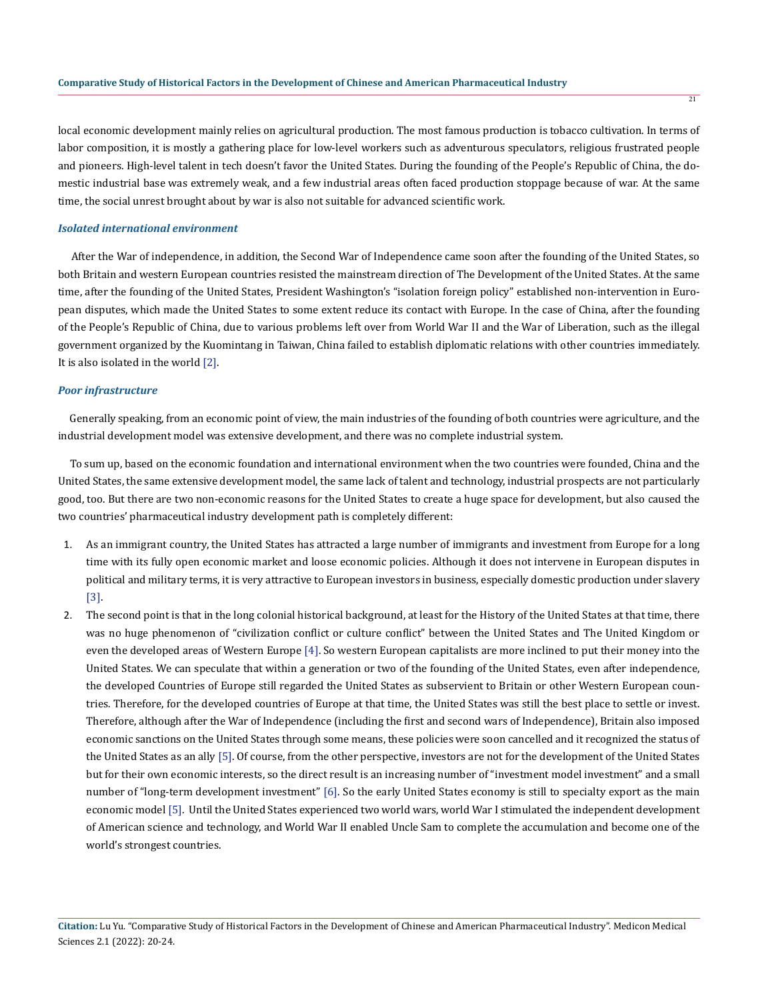local economic development mainly relies on agricultural production. The most famous production is tobacco cultivation. In terms of labor composition, it is mostly a gathering place for low-level workers such as adventurous speculators, religious frustrated people and pioneers. High-level talent in tech doesn't favor the United States. During the founding of the People's Republic of China, the domestic industrial base was extremely weak, and a few industrial areas often faced production stoppage because of war. At the same time, the social unrest brought about by war is also not suitable for advanced scientific work.

#### *Isolated international environment*

 After the War of independence, in addition, the Second War of Independence came soon after the founding of the United States, so both Britain and western European countries resisted the mainstream direction of The Development of the United States. At the same time, after the founding of the United States, President Washington's "isolation foreign policy" established non-intervention in European disputes, which made the United States to some extent reduce its contact with Europe. In the case of China, after the founding of the People's Republic of China, due to various problems left over from World War II and the War of Liberation, such as the illegal government organized by the Kuomintang in Taiwan, China failed to establish diplomatic relations with other countries immediately. It is also isolated in the world [2].

## *Poor infrastructure*

 Generally speaking, from an economic point of view, the main industries of the founding of both countries were agriculture, and the industrial development model was extensive development, and there was no complete industrial system.

 To sum up, based on the economic foundation and international environment when the two countries were founded, China and the United States, the same extensive development model, the same lack of talent and technology, industrial prospects are not particularly good, too. But there are two non-economic reasons for the United States to create a huge space for development, but also caused the two countries' pharmaceutical industry development path is completely different:

- 1. As an immigrant country, the United States has attracted a large number of immigrants and investment from Europe for a long time with its fully open economic market and loose economic policies. Although it does not intervene in European disputes in political and military terms, it is very attractive to European investors in business, especially domestic production under slavery [3].
- 2. The second point is that in the long colonial historical background, at least for the History of the United States at that time, there was no huge phenomenon of "civilization conflict or culture conflict" between the United States and The United Kingdom or even the developed areas of Western Europe [4]. So western European capitalists are more inclined to put their money into the United States. We can speculate that within a generation or two of the founding of the United States, even after independence, the developed Countries of Europe still regarded the United States as subservient to Britain or other Western European countries. Therefore, for the developed countries of Europe at that time, the United States was still the best place to settle or invest. Therefore, although after the War of Independence (including the first and second wars of Independence), Britain also imposed economic sanctions on the United States through some means, these policies were soon cancelled and it recognized the status of the United States as an ally [5]. Of course, from the other perspective, investors are not for the development of the United States but for their own economic interests, so the direct result is an increasing number of "investment model investment" and a small number of "long-term development investment" [6]. So the early United States economy is still to specialty export as the main economic model [5]. Until the United States experienced two world wars, world War I stimulated the independent development of American science and technology, and World War II enabled Uncle Sam to complete the accumulation and become one of the world's strongest countries.

 $\overline{21}$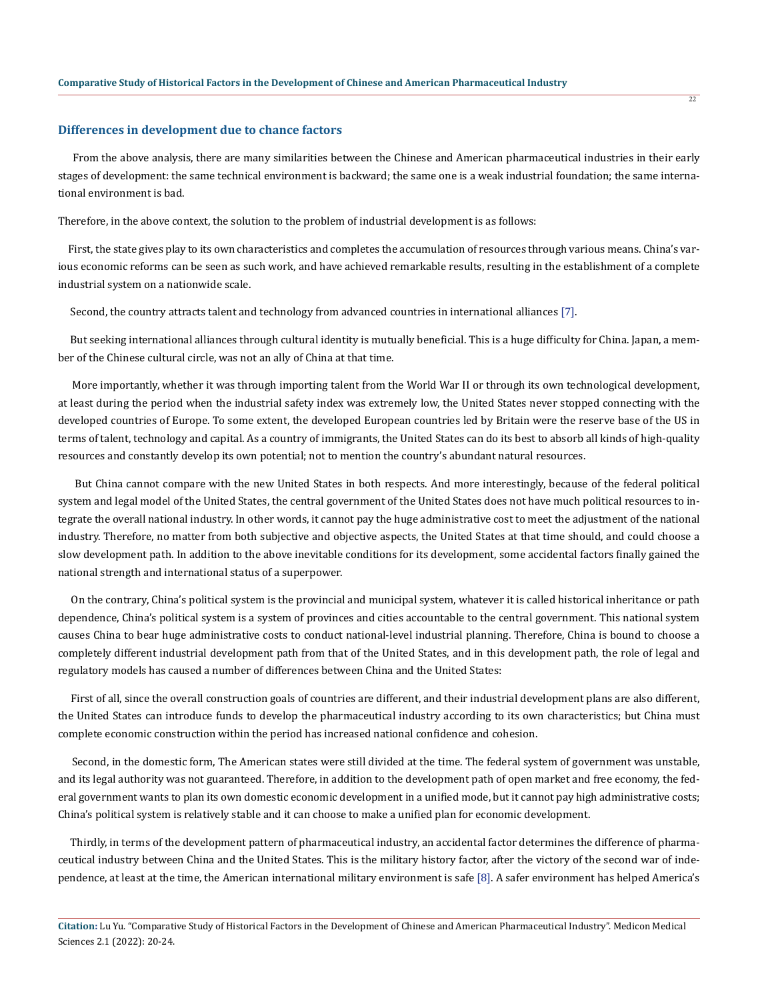#### **Differences in development due to chance factors**

 From the above analysis, there are many similarities between the Chinese and American pharmaceutical industries in their early stages of development: the same technical environment is backward; the same one is a weak industrial foundation; the same international environment is bad.

Therefore, in the above context, the solution to the problem of industrial development is as follows:

 First, the state gives play to its own characteristics and completes the accumulation of resources through various means. China's various economic reforms can be seen as such work, and have achieved remarkable results, resulting in the establishment of a complete industrial system on a nationwide scale.

Second, the country attracts talent and technology from advanced countries in international alliances [7].

 But seeking international alliances through cultural identity is mutually beneficial. This is a huge difficulty for China. Japan, a member of the Chinese cultural circle, was not an ally of China at that time.

 More importantly, whether it was through importing talent from the World War II or through its own technological development, at least during the period when the industrial safety index was extremely low, the United States never stopped connecting with the developed countries of Europe. To some extent, the developed European countries led by Britain were the reserve base of the US in terms of talent, technology and capital. As a country of immigrants, the United States can do its best to absorb all kinds of high-quality resources and constantly develop its own potential; not to mention the country's abundant natural resources.

 But China cannot compare with the new United States in both respects. And more interestingly, because of the federal political system and legal model of the United States, the central government of the United States does not have much political resources to integrate the overall national industry. In other words, it cannot pay the huge administrative cost to meet the adjustment of the national industry. Therefore, no matter from both subjective and objective aspects, the United States at that time should, and could choose a slow development path. In addition to the above inevitable conditions for its development, some accidental factors finally gained the national strength and international status of a superpower.

 On the contrary, China's political system is the provincial and municipal system, whatever it is called historical inheritance or path dependence, China's political system is a system of provinces and cities accountable to the central government. This national system causes China to bear huge administrative costs to conduct national-level industrial planning. Therefore, China is bound to choose a completely different industrial development path from that of the United States, and in this development path, the role of legal and regulatory models has caused a number of differences between China and the United States:

 First of all, since the overall construction goals of countries are different, and their industrial development plans are also different, the United States can introduce funds to develop the pharmaceutical industry according to its own characteristics; but China must complete economic construction within the period has increased national confidence and cohesion.

 Second, in the domestic form, The American states were still divided at the time. The federal system of government was unstable, and its legal authority was not guaranteed. Therefore, in addition to the development path of open market and free economy, the federal government wants to plan its own domestic economic development in a unified mode, but it cannot pay high administrative costs; China's political system is relatively stable and it can choose to make a unified plan for economic development.

 Thirdly, in terms of the development pattern of pharmaceutical industry, an accidental factor determines the difference of pharmaceutical industry between China and the United States. This is the military history factor, after the victory of the second war of independence, at least at the time, the American international military environment is safe [8]. A safer environment has helped America's

 $\overline{22}$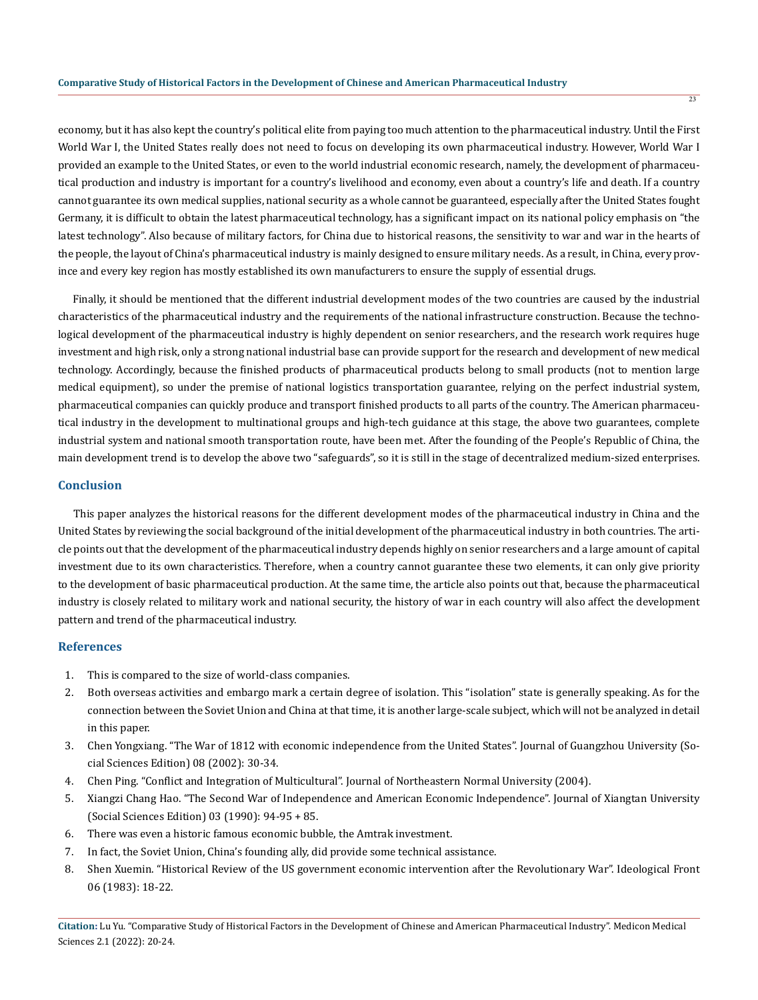economy, but it has also kept the country's political elite from paying too much attention to the pharmaceutical industry. Until the First World War I, the United States really does not need to focus on developing its own pharmaceutical industry. However, World War I provided an example to the United States, or even to the world industrial economic research, namely, the development of pharmaceutical production and industry is important for a country's livelihood and economy, even about a country's life and death. If a country cannot guarantee its own medical supplies, national security as a whole cannot be guaranteed, especially after the United States fought Germany, it is difficult to obtain the latest pharmaceutical technology, has a significant impact on its national policy emphasis on "the latest technology". Also because of military factors, for China due to historical reasons, the sensitivity to war and war in the hearts of the people, the layout of China's pharmaceutical industry is mainly designed to ensure military needs. As a result, in China, every province and every key region has mostly established its own manufacturers to ensure the supply of essential drugs.

 Finally, it should be mentioned that the different industrial development modes of the two countries are caused by the industrial characteristics of the pharmaceutical industry and the requirements of the national infrastructure construction. Because the technological development of the pharmaceutical industry is highly dependent on senior researchers, and the research work requires huge investment and high risk, only a strong national industrial base can provide support for the research and development of new medical technology. Accordingly, because the finished products of pharmaceutical products belong to small products (not to mention large medical equipment), so under the premise of national logistics transportation guarantee, relying on the perfect industrial system, pharmaceutical companies can quickly produce and transport finished products to all parts of the country. The American pharmaceutical industry in the development to multinational groups and high-tech guidance at this stage, the above two guarantees, complete industrial system and national smooth transportation route, have been met. After the founding of the People's Republic of China, the main development trend is to develop the above two "safeguards", so it is still in the stage of decentralized medium-sized enterprises.

## **Conclusion**

 This paper analyzes the historical reasons for the different development modes of the pharmaceutical industry in China and the United States by reviewing the social background of the initial development of the pharmaceutical industry in both countries. The article points out that the development of the pharmaceutical industry depends highly on senior researchers and a large amount of capital investment due to its own characteristics. Therefore, when a country cannot guarantee these two elements, it can only give priority to the development of basic pharmaceutical production. At the same time, the article also points out that, because the pharmaceutical industry is closely related to military work and national security, the history of war in each country will also affect the development pattern and trend of the pharmaceutical industry.

# **References**

- 1. This is compared to the size of world-class companies.
- 2. Both overseas activities and embargo mark a certain degree of isolation. This "isolation" state is generally speaking. As for the connection between the Soviet Union and China at that time, it is another large-scale subject, which will not be analyzed in detail in this paper.
- 3. Chen Yongxiang. "The War of 1812 with economic independence from the United States". Journal of Guangzhou University (Social Sciences Edition) 08 (2002): 30-34.
- 4. Chen Ping. "Conflict and Integration of Multicultural". Journal of Northeastern Normal University (2004).
- 5. Xiangzi Chang Hao. "The Second War of Independence and American Economic Independence". Journal of Xiangtan University (Social Sciences Edition) 03 (1990): 94-95 + 85.
- 6. There was even a historic famous economic bubble, the Amtrak investment.
- 7. In fact, the Soviet Union, China's founding ally, did provide some technical assistance.
- 8. Shen Xuemin. "Historical Review of the US government economic intervention after the Revolutionary War". Ideological Front 06 (1983): 18-22.

**Citation:** Lu Yu. "Comparative Study of Historical Factors in the Development of Chinese and American Pharmaceutical Industry". Medicon Medical Sciences 2.1 (2022): 20-24.

 $\overline{23}$